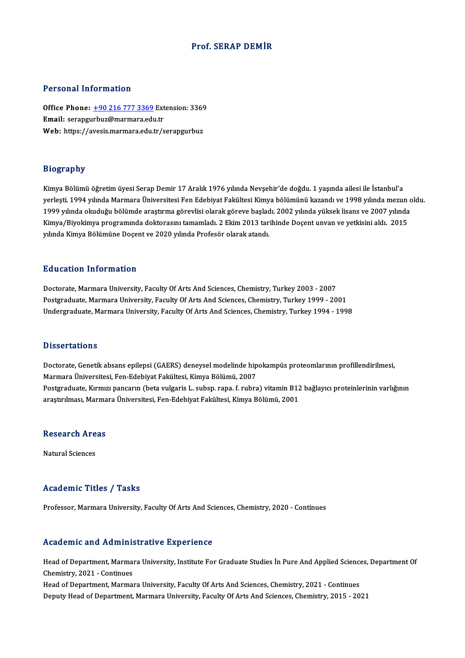#### Prof. SERAP DEMİR

#### Personal Information

Personal Information<br>Office Phone: <u>+90 216 777 3369</u> Extension: 3369<br>Email: serangurbug@marmare.edu.tr Personal Information<br>Office Phone: <u>+90 216 777 3369</u> Ext<br>Email: serapgu[rbuz@marmara.edu](tel:+90 216 777 3369).tr Office Phone: <u>+90 216 777 3369</u> Extension: 3369<br>Email: serapgurbuz@marmara.edu.tr<br>Web: https://avesis.marmara.edu.tr/serapgurbuz Web: https://avesis.marmara.edu.tr/serapgurbuz<br>Biography

Kimya Bölümü öğretim üyesi Serap Demir 17 Aralık 1976 yılında Nevşehir'de doğdu. 1 yaşında ailesi ile İstanbul'a yerleşti.<br>Kimya Bölümü öğretim üyesi Serap Demir 17 Aralık 1976 yılında Nevşehir'de doğdu. 1 yaşında ailesi ile İstanbul'a<br>yerleşti. 1994 yılında Marmara Üniversitesi Fen Edebiyat Fakültesi Kimya bölümünü kazandı ve 1998 y Kimya Bölümü öğretim üyesi Serap Demir 17 Aralık 1976 yılında Nevşehir'de doğdu. 1 yaşında ailesi ile İstanbul'a<br>yerleşti. 1994 yılında Marmara Üniversitesi Fen Edebiyat Fakültesi Kimya bölümünü kazandı ve 1998 yılında mez yerleşti, 1994 yılında Marmara Üniversitesi Fen Edebiyat Fakültesi Kimya bölümünü kazandı ve 1998 yılında mezun<br>1999 yılında okuduğu bölümde araştırma görevlisi olarak göreve başladı. 2002 yılında yüksek lisans ve 2007 yıl 1999 yılında okuduğu bölümde araştırma görevlisi olarak göreve başlad<br>Kimya/Biyokimya programında doktorasını tamamladı. 2 Ekim 2013 tar<br>yılında Kimya Bölümüne Doçent ve 2020 yılında Profesör olarak atandı. yılında Kimya Bölümüne Doçent ve 2020 yılında Profesör olarak atandı.<br>Education Information

Doctorate, Marmara University, Faculty Of Arts And Sciences, Chemistry, Turkey 2003 - 2007 Postgraduate, Marmara University, Faculty Of Arts And Sciences, Chemistry, Turkey 1999 - 2001 Undergraduate, Marmara University, Faculty Of Arts And Sciences, Chemistry, Turkey 1994 - 1998

#### **Dissertations**

Dissertations<br>Doctorate, Genetik absans epilepsi (GAERS) deneysel modelinde hipokampüs proteomlarının profillendirilmesi,<br>Marmara Üniversitesi, Een Edebiyat Felsiltesi, Kimya Pölümü, 2007 Marmara<br>Marmara Üniversitesi, Fen-Edebiyat Fakültesi, Kimya Bölümü, 2007<br>Marmara Üniversitesi, Fen-Edebiyat Fakültesi, Kimya Bölümü, 2007<br>Pestaraduata Kumuru papsanın (beta uulgaris L. suban, rapa, f. rubra Doctorate, Genetik absans epilepsi (GAERS) deneysel modelinde hipokampüs proteomlarının profillendirilmesi,<br>Marmara Üniversitesi, Fen-Edebiyat Fakültesi, Kimya Bölümü, 2007<br>Postgraduate, Kırmızı pancarın (beta vulgaris L. Marmara Üniversitesi, Fen-Edebiyat Fakültesi, Kimya Bölümü, 2007<br>Postgraduate, Kırmızı pancarın (beta vulgaris L. subsp. rapa. f. rubra) vitamin B12 bağlayıcı proteinlerinin varlığının<br>araştırılması, Marmara Üniversitesi,

## araşuruması, marma<br>Research Areas <mark>Research Are</mark><br>Natural Sciences

# Natural Sciences<br>Academic Titles / Tasks

Professor, Marmara University, Faculty Of Arts And Sciences, Chemistry, 2020 - Continues

#### Academic and Administrative Experience

Academic and Administrative Experience<br>Head of Department, Marmara University, Institute For Graduate Studies İn Pure And Applied Sciences, Department Of Head of Department, Marman<br>Chemistry, 2021 - Continues<br>Head of Department, Marman Head of Department, Marmara University, Institute For Graduate Studies İn Pure And Applied Science<br>Chemistry, 2021 - Continues<br>Head of Department, Marmara University, Faculty Of Arts And Sciences, Chemistry, 2021 - Continu

Chemistry, 2021 - Continues<br>Head of Department, Marmara University, Faculty Of Arts And Sciences, Chemistry, 2021 - Continues<br>Deputy Head of Department, Marmara University, Faculty Of Arts And Sciences, Chemistry, 2015 - 2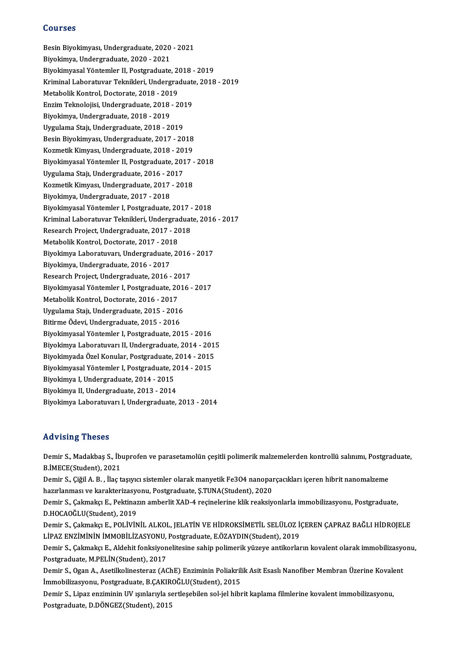#### Courses

Courses<br>Besin Biyokimyası, Undergraduate, 2020 - 2021<br>Biyokimya Undergraduate, 2020 - 2021 dourses<br>Besin Biyokimyası, Undergraduate, 2020<br>Biyokimya, Undergraduate, 2020 - 2021<br>Biyokimyasel Vöntemler II. Bestareduate Besin Biyokimyası, Undergraduate, 2020 - 2021<br>Biyokimya, Undergraduate, 2020 - 2021<br>Biyokimyasal Yöntemler II, Postgraduate, 2018 - 2019<br>Kriminal Laberatuvar Teknikleri, Undergraduate, 2019 Biyokimya, Undergraduate, 2020 - 2021<br>Biyokimyasal Yöntemler II, Postgraduate, 2018 - 2019<br>Kriminal Laboratuvar Teknikleri, Undergraduate, 2018 - 2019<br>Metabelik Kentrel, Desterate, 2019 - 2019 Biyokimyasal Yöntemler II, Postgraduate, 2018<br>Kriminal Laboratuvar Teknikleri, Undergrad<br>Metabolik Kontrol, Doctorate, 2018 - 2019<br>Enzim Teknolojisi, Undergraduate, 2019 Kriminal Laboratuvar Teknikleri, Undergraduate<br>Metabolik Kontrol, Doctorate, 2018 - 2019<br>Enzim Teknolojisi, Undergraduate, 2018 - 2019<br>Bivoltinya, Undergraduate, 2018 - 2019 Metabolik Kontrol, Doctorate, 2018 - 2019<br>Enzim Teknolojisi, Undergraduate, 2018 - 2019<br>Biyokimya, Undergraduate, 2018 - 2019 Uygulama Stajı,Undergraduate,2018 -2019 Biyokimya, Undergraduate, 2018 - 2019<br>Uygulama Stajı, Undergraduate, 2018 - 2019<br>Besin Biyokimyası, Undergraduate, 2017 - 2018<br>Kozmatik Kimyası, Undergraduate, 2018 - 2019 Uygulama Stajı, Undergraduate, 2018 - 2019<br>Besin Biyokimyası, Undergraduate, 2017 - 2018<br>Kozmetik Kimyası, Undergraduate, 2018 - 2019<br>Biyokimyasal Vöntemler II. Bestsraduate, 2017 Biyokimyasal Yöntemler II, Postgraduate, 2017 - 2018<br>Uygulama Stajı, Undergraduate, 2016 - 2017 Kozmetik Kimyası, Undergraduate, 2018 - 2019 Biyokimyasal Yöntemler II, Postgraduate, 2017 -<br>Uygulama Stajı, Undergraduate, 2016 - 2017<br>Kozmetik Kimyası, Undergraduate, 2017 - 2018<br>Biyokimya Undergraduata, 2017 - 2018 Uygulama Stajı, Undergraduate, 2016 - 20<br>Kozmetik Kimyası, Undergraduate, 2017<br>Biyokimya, Undergraduate, 2017 - 2018<br>Biyokimyasel Vöntemler I. Bostsraduate Kozmetik Kimyası, Undergraduate, 2017 - 2018<br>Biyokimya, Undergraduate, 2017 - 2018<br>Biyokimyasal Yöntemler I, Postgraduate, 2017 - 2018<br>Kriminal Labaratuvar Telmikleri, Undergraduate, 2018 Biyokimya, Undergraduate, 2017 - 2018<br>Biyokimyasal Yöntemler I, Postgraduate, 2017 - 2018<br>Kriminal Laboratuvar Teknikleri, Undergraduate, 2016 - 2017<br>Research Project, Undergraduate, 2017 - 2018 Biyokimyasal Yöntemler I, Postgraduate, 2017 -<br>Kriminal Laboratuvar Teknikleri, Undergraduat<br>Research Project, Undergraduate, 2017 - 2018<br>Metabelik Kentrel, Destenste, 2017 - 2018 Kriminal Laboratuvar Teknikleri, Undergrad<br>Research Project, Undergraduate, 2017 - 20<br>Metabolik Kontrol, Doctorate, 2017 - 2018<br>Bivokimya Laboratuvaru Undergraduate, 20 Research Project, Undergraduate, 2017 - 2018<br>Metabolik Kontrol, Doctorate, 2017 - 2018<br>Biyokimya Laboratuvarı, Undergraduate, 2016 - 2017<br>Biyokimya Undergraduate, 2016 - 2017 Metabolik Kontrol, Doctorate, 2017 - 2013<br>Biyokimya Laboratuvarı, Undergraduate,<br>Biyokimya, Undergraduate, 2016 - 2017<br>Besearsh Brejest, Undergraduate, 2016 Biyokimya Laboratuvarı, Undergraduate, 2016<br>Biyokimya, Undergraduate, 2016 - 2017<br>Research Project, Undergraduate, 2016 - 2017<br>Biyokimyasel Väntemler I. Bostareduate, 2016 Biyokimya, Undergraduate, 2016 - 2017<br>Research Project, Undergraduate, 2016 - 2017<br>Biyokimyasal Yöntemler I, Postgraduate, 2016 - 2017<br>Metabelik Kontrel, Dosterate, 2016 - 2017 Research Project, Undergraduate, 2016 - 2017<br>Biyokimyasal Yöntemler I, Postgraduate, 2016<br>Metabolik Kontrol, Doctorate, 2016 - 2017 Biyokimyasal Yöntemler I, Postgraduate, 201<br>Metabolik Kontrol, Doctorate, 2016 - 2017<br>Uygulama Stajı, Undergraduate, 2015 - 2016<br>Bitirme Ödevi, Undergraduate, 2015 - 2016 Uygulama Stajı, Undergraduate, 2015 - 2016<br>Bitirme Ödevi, Undergraduate, 2015 - 2016 BiyokimyasalYöntemler I,Postgraduate,2015 -2016 Bitirme Ödevi, Undergraduate, 2015 - 2016<br>Biyokimyasal Yöntemler I, Postgraduate, 2015 - 2016<br>Biyokimya Laboratuvarı II, Undergraduate, 2014 - 2015<br>Biyokimyada Özel Kanular, Postgraduate, 2014 - 2015 Biyokimyasal Yöntemler I, Postgraduate, 2015 - 2016<br>Biyokimya Laboratuvarı II, Undergraduate, 2014 - 2015<br>Biyokimyada Özel Konular, Postgraduate, 2014 - 2015<br>Biyokimyasal Yöntemler I, Postgraduate, 2014 - 2015 Biyokimya Laboratuvarı II, Undergraduate, 2014 - 2015<br>Biyokimyada Özel Konular, Postgraduate, 2014 - 2015<br>Biyokimyasal Yöntemler I, Postgraduate, 2014 - 2015<br>Biyokimya I, Undergraduate, 2014 - 2015 Biyokimyada Özel Konular, Postgraduate, 2<br>Biyokimyasal Yöntemler I, Postgraduate, 2<br>Biyokimya I, Undergraduate, 2014 - 2015<br>Biyokimya II, Undergraduate, 2013 - 2014 Biyokimyasal Yöntemler I, Postgraduate, 20<br>Biyokimya I, Undergraduate, 2014 - 2015<br>Biyokimya II, Undergraduate, 2013 - 2014<br>Biyokimya Laboratuyan L Undergraduate Biyokimya II, Undergraduate, 2013 - 2014<br>Biyokimya Laboratuvarı I, Undergraduate, 2013 - 2014

#### Advising Theses

Advising Theses<br>Demir S., Madakbaş S., İbuprofen ve parasetamolün çeşitli polimerik malzemelerden kontrollü salınımı, Postgraduate,<br>P. İMECE(Student), 2021 **B.A. Process**<br>B.<br>B.İMECE(Student), 2021<br>Domin S. Giğil A. B. İlaq t Demir S., Madakbaş S., İbuprofen ve parasetamolün çeşitli polimerik malzemelerden kontrollü salınımı, Postgra<br>B.İMECE(Student), 2021<br>Demir S., Çiğil A. B. , İlaç taşıyıcı sistemler olarak manyetik Fe3O4 nanoparçacıkları iç

B.İMECE(Student), 2021<br>Demir S., Çiğil A. B. , İlaç taşıyıcı sistemler olarak manyetik Fe304 nanopaı<br>hazırlanması ve karakterizasyonu, Postgraduate, Ş.TUNA(Student), 2020<br>Demir S. Colmaksı E. Beltinesın ambarlit YAD 4 resi

Demir S., Çiğil A. B. , İlaç taşıyıcı sistemler olarak manyetik Fe3O4 nanoparçacıkları içeren hibrit nanomalzeme<br>hazırlanması ve karakterizasyonu, Postgraduate, Ş.TUNA(Student), 2020<br>Demir S., Çakmakçı E., Pektinazın amber hazırlanması ve karakterizasyo<br>Demir S., Çakmakçı E., Pektinaz<br>D.HOCAOĞLU(Student), 2019<br>Domir S. *Colmaksı E. POL*İVİN Demir S., Çakmakçı E., Pektinazın amberlit XAD-4 reçinelerine klik reaksiyonlarla immobilizasyonu, Postgraduate,<br>D.HOCAOĞLU(Student), 2019<br>Demir S., Çakmakçı E., POLİVİNİL ALKOL, JELATİN VE HİDROKSİMETİL SELÜLOZ İÇEREN ÇAP

D.HOCAOĞLU(Student), 2019<br>Demir S., Çakmakçı E., POLİVİNİL ALKOL, JELATİN VE HİDROKSİMETİL SELÜLOZ İ@<br>LİPAZ ENZİMİNİN İMMOBİLİZASYONU, Postgraduate, E.ÖZAYDIN(Student), 2019<br>Demir S. Colmaksı E. Aldebit fanksiyenelitesine Demir S., Çakmakçı E., POLİVİNİL ALKOL, JELATİN VE HİDROKSİMETİL SELÜLOZ İÇEREN ÇAPRAZ BAĞLI HİDROJELE<br>LİPAZ ENZİMİNİN İMMOBİLİZASYONU, Postgraduate, E.ÖZAYDIN(Student), 2019<br>Demir S., Çakmakçı E., Aldehit fonksiyonelitesi

LİPAZ ENZİMİNİN İMMOBİLİZASYONU, Postgraduate, E.ÖZAYDIN(Student), 2019<br>Demir S., Çakmakçı E., Aldehit fonksiyonelitesine sahip polimerik yüzeye antikorların kovalent olarak immobilizasyonu,<br>Postgraduate, M.PELİN(Student), Demir S., Çakmakçı E., Aldehit fonksiyonelitesine sahip polimerik yüzeye antikorların kovalent olarak immobilizasyo<br>Postgraduate, M.PELİN(Student), 2017<br>Demir S., Ogan A., Asetilkolinesteraz (AChE) Enziminin Poliakrilik As

Postgraduate, M.PELİN(Student), 2017<br>Demir S., Ogan A., Asetilkolinesteraz (AChE) Enziminin Poliakril:<br>İmmobilizasyonu, Postgraduate, B.ÇAKIROĞLU(Student), 2015<br>Demir S. Lines enziminin UV surlanıyla sertləsəbilən səl işl Demir S., Ogan A., Asetilkolinesteraz (AChE) Enziminin Poliakrilik Asit Esaslı Nanofiber Membran Üzerine Kovale<br>İmmobilizasyonu, Postgraduate, B.ÇAKIROĞLU(Student), 2015<br>Demir S., Lipaz enziminin UV ışınlarıyla sertleşebil

İmmobilizasyonu, Postgraduate, B.ÇAKIR<br>Demir S., Lipaz enziminin UV ışınlarıyla sı<br>Postgraduate, D.DÖNGEZ(Student), 2015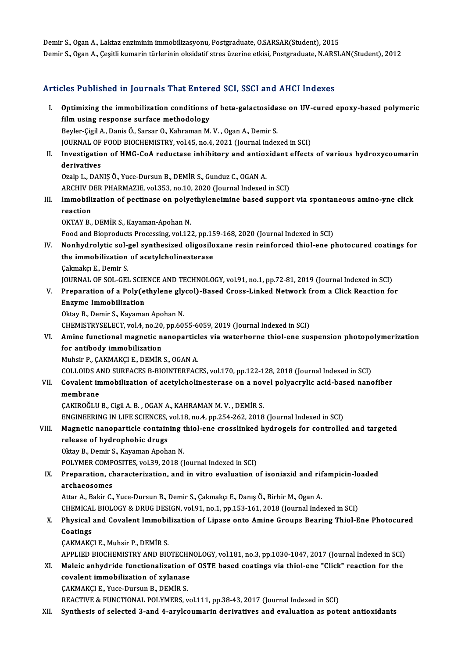Demir S., Ogan A., Laktaz enziminin immobilizasyonu, Postgraduate, O.SARSAR(Student), 2015 Demir S., Ogan A., Çeşitli kumarin türlerinin oksidatif stres üzerine etkisi, Postgraduate, N.ARSLAN(Student), 2012

### Articles Published in Journals That Entered SCI, SSCI and AHCI Indexes

rticles Published in Journals That Entered SCI, SSCI and AHCI Indexes<br>I. Optimizing the immobilization conditions of beta-galactosidase on UV-cured epoxy-based polymeric<br>film using reeponse surfase methodology Second and the state of the state of the state of the state of the using response surface methodology<br>Film using response surface methodology<br>Review Civil A. Danis O. Serser O. Kehreman M Optimizing the immobilization conditions of beta-galactosida<br>film using response surface methodology<br>Beyler-Çigil A., Danis Ö., Sarsar O., Kahraman M. V. , Ogan A., Demir S.<br>JOUPMAL OF FOOD PIOCHEMISTRY vol 45, no.4, 2021 film using response surface methodology<br>Beyler-Çigil A., Danis Ö., Sarsar O., Kahraman M. V. , Ogan A., Demir S.<br>JOURNAL OF FOOD BIOCHEMISTRY, vol.45, no.4, 2021 (Journal Indexed in SCI) Beyler-Çigil A., Danis Ö., Sarsar O., Kahraman M. V. , Ogan A., Demir S.<br>JOURNAL OF FOOD BIOCHEMISTRY, vol.45, no.4, 2021 (Journal Indexed in SCI)<br>II. Investigation of HMG-CoA reductase inhibitory and antioxidant effects o JOURNAL OF<br>Investigatio<br>derivatives<br>Oreln L. DAN Investigation of HMG-CoA reductase inhibitory and antiox<br>derivatives<br>Ozalp L., DANIŞ Ö., Yuce-Dursun B., DEMİR S., Gunduz C., OGAN A.<br>ARCHIV DER BHARMAZIE vol 252, no.10, 2020 (Journal Indoved derivatives<br>Ozalp L., DANIŞ Ö., Yuce-Dursun B., DEMİR S., Gunduz C., OGAN A.<br>ARCHIV DER PHARMAZIE, vol.353, no.10, 2020 (Journal Indexed in SCI)<br>Immebilization of nestinase en nelystbyleneimine based sunner Ozalp L., DANIŞ Ö., Yuce-Dursun B., DEMİR S., Gunduz C., OGAN A.<br>ARCHIV DER PHARMAZIE, vol.353, no.10, 2020 (Journal Indexed in SCI)<br>III. Immobilization of pectinase on polyethyleneimine based support via spontaneous amino **ARCHIV D<br>Immobili<br>reaction<br>OKTAY P** OKTAY B., DEMİR S., Kayaman-Apohan N. reaction<br>OKTAY B., DEMİR S., Kayaman-Apohan N.<br>Food and Bioproducts Processing, vol.122, pp.159-168, 2020 (Journal Indexed in SCI)<br>Nanbydnalytia sal. sal. suntbesined alisasilayana nesin neinforsed thiel and n OKTAY B., DEMİR S., Kayaman-Apohan N.<br>Food and Bioproducts Processing, vol.122, pp.159-168, 2020 (Journal Indexed in SCI)<br>IV. Nonhydrolytic sol-gel synthesized oligosiloxane resin reinforced thiol-ene photocured coatings f Food and Bioproducts Processing, vol.122, pp.15<br>Nonhydrolytic sol-gel synthesized oligosilo<br>the immobilization of acetylcholinesterase<br>Calmaka E. Domir S Nonhydrolytic sol-<br>the immobilization<br>Çakmakçı E., Demir S.<br>JOUPNAL OF SOL CEL the immobilization of acetylcholinesterase<br>Cakmakçı E., Demir S.<br>JOURNAL OF SOL-GEL SCIENCE AND TECHNOLOGY, vol.91, no.1, pp.72-81, 2019 (Journal Indexed in SCI) Cakmakçı E., Demir S.<br>JOURNAL OF SOL-GEL SCIENCE AND TECHNOLOGY, vol.91, no.1, pp.72-81, 2019 (Journal Indexed in SCI)<br>V. Preparation of a Poly(ethylene glycol)-Based Cross-Linked Network from a Click Reaction for<br>Fraume I **JOURNAL OF SOL-GEL SCIE<br>Preparation of a Poly(e<br>Enzyme Immobilization<br>Oltav B. Domir S. Kayamay** Preparation of a Poly(ethylene gly<br>Enzyme Immobilization<br>Oktay B., Demir S., Kayaman Apohan N.<br>CHEMISTRYSELECT vol 4 no 20 nn 60. Enzyme Immobilization<br>Oktay B., Demir S., Kayaman Apohan N.<br>CHEMISTRYSELECT, vol.4, no.20, pp.6055-6059, 2019 (Journal Indexed in SCI)<br>Amine functional magnetic nanonarticles via weterborne thiel ane sur Oktay B., Demir S., Kayaman Apohan N.<br>CHEMISTRYSELECT, vol.4, no.20, pp.6055-6059, 2019 (Journal Indexed in SCI)<br>VI. Amine functional magnetic nanoparticles via waterborne thiol-ene suspension photopolymerization<br>for antib CHEMISTRYSELECT, vol.4, no.20<br>Amine functional magnetic n<br>for antibody immobilization<br>Muhsin B. CAKMAKCLE, DEMIP Amine functional magnetic nanoparticl<br>for antibody immobilization<br>Muhsir P., ÇAKMAKÇI E., DEMİR S., OGAN A.<br>COLLOUDS AND SURFACES P PIOINTEREAC for antibody immobilization<br>Muhsir P., ÇAKMAKÇI E., DEMİR S., OGAN A.<br>COLLOIDS AND SURFACES B-BIOINTERFACES, vol.170, pp.122-128, 2018 (Journal Indexed in SCI)<br>Covelant immobilization of asetylebelinesterase en a novel pol Muhsir P., ÇAKMAKÇI E., DEMİR S., OGAN A.<br>COLLOIDS AND SURFACES B-BIOINTERFACES, vol.170, pp.122-128, 2018 (Journal Indexed in SCI)<br>VII. Covalent immobilization of acetylcholinesterase on a novel polyacrylic acid-based COLLOIDS A<br>Covalent in<br>membrane<br>CAVIDOČI II Covalent immobilization of acetylcholinesterase on a nov<br>membrane<br>ÇAKIROĞLU B., Cigil A.B. , OGAN A., KAHRAMAN M. V. , DEMİR S.<br>ENCINEEPINC IN LIEE SCIENCES .vol 19. no.4. np.254,262,2019 membrane<br>ÇAKIROĞLU B., Cigil A. B. , OGAN A., KAHRAMAN M. V. , DEMİR S.<br>ENGINEERING IN LIFE SCIENCES, vol.18, no.4, pp.254-262, 2018 (Journal Indexed in SCI) CAKIROĞLU B., Cigil A. B. , OGAN A., KAHRAMAN M. V. , DEMİR S.<br>ENGINEERING IN LIFE SCIENCES, vol.18, no.4, pp.254-262, 2018 (Journal Indexed in SCI)<br>VIII. Magnetic nanoparticle containing thiol-ene crosslinked hydrogels fo release of hydrophobic drugs<br>Oktay B., Demir S., Kayaman Apohan N. Magnetic nanoparticle containing t<br>release of hydrophobic drugs<br>Oktay B., Demir S., Kayaman Apohan N.<br>POLYMER COMPOSITES, vol 29, 2019 (I POLYMER COMPOSITES, vol.39, 2018 (Journal Indexed in SCI) Oktay B., Demir S., Kayaman Apohan N.<br>POLYMER COMPOSITES, vol.39, 2018 (Journal Indexed in SCI)<br>IX. Preparation, characterization, and in vitro evaluation of isoniazid and rifampicin-loaded<br>Archaeosomos POLYMER COMP<br>Preparation, ch<br>archaeosomes Preparation, characterization, and in vitro evaluation of isoniazid and rif<br>archaeosomes<br>Attar A., Bakir C., Yuce-Dursun B., Demir S., Çakmakçı E., Danış Ö., Birbir M., Ogan A.<br>CHEMICAL BIOLOCY & DRUC DESICN val91 no 1 nn archaeosomes<br>Attar A., Bakir C., Yuce-Dursun B., Demir S., Çakmakçı E., Danış Ö., Birbir M., Ogan A.<br>CHEMICAL BIOLOGY & DRUG DESIGN, vol.91, no.1, pp.153-161, 2018 (Journal Indexed in SCI)<br>Physisal and Covalent Immebilizat Attar A., Bakir C., Yuce-Dursun B., Demir S., Çakmakçı E., Danış Ö., Birbir M., Ogan A.<br>CHEMICAL BIOLOGY & DRUG DESIGN, vol.91, no.1, pp.153-161, 2018 (Journal Indexed in SCI)<br>X. Physical and Covalent Immobilization of Lip CHEMICAL<br>Physical<br>Coatings<br>CAKMAKC ÇAKMAKÇI E., Muhsir P., DEMİR S. APPLIED BIOCHEMISTRY AND BIOTECHNOLOGY, vol.181, no.3, pp.1030-1047, 2017 (Journal Indexed in SCI) CAKMAKÇI E., Muhsir P., DEMİR S.<br>APPLIED BIOCHEMISTRY AND BIOTECHNOLOGY, vol.181, no.3, pp.1030-1047, 2017 (Journal Indexed in SCI)<br>XI. Maleic anhydride functionalization of OSTE based coatings via thiol-ene "Click" reacti APPLIED BIOCHEMISTRY AND BIOTECHN<br>Maleic anhydride functionalization of<br>covalent immobilization of xylanase<br>CAKMAKCLE, Yugo Durgun B., DEMIR S Maleic anhydride functionalization<br>covalent immobilization of xylanase<br>CAKMAKÇI E., Yuce-Dursun B., DEMİR S.<br>PEACTIVE & EUNCTIONAL POLYMEDS. covalent immobilization of xylanase<br>CAKMAKÇI E., Yuce-Dursun B., DEMİR S.<br>REACTIVE & FUNCTIONAL POLYMERS, vol.111, pp.38-43, 2017 (Journal Indexed in SCI) XII. Synthesis of selected 3-and 4-arylcoumarin derivatives and evaluation as potent antioxidants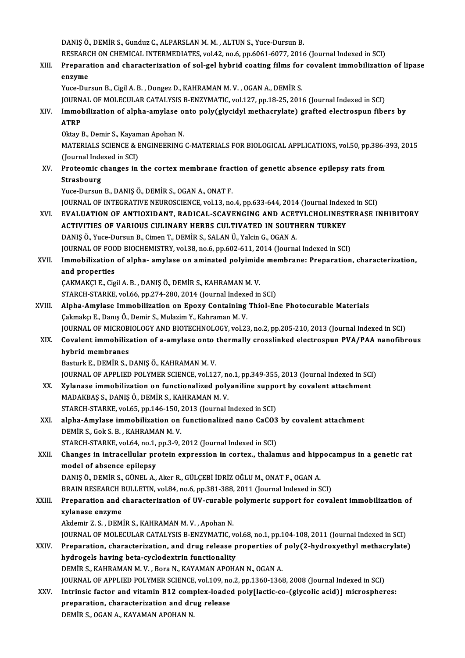DANIŞÖ., DEMİR S., Gunduz C., ALPARSLAN M. M., ALTUN S., Yuce-Dursun B. DANIŞ Ö., DEMİR S., Gunduz C., ALPARSLAN M. M. , ALTUN S., Yuce-Dursun B.<br>RESEARCH ON CHEMICAL INTERMEDIATES, vol.42, no.6, pp.6061-6077, 2016 (Journal Indexed in SCI)<br>Preperation and characterization of sol sel bybrid sos

XIII. Preparation and characterization of sol-gel hybrid coating films for covalent immobilization of lipase<br>enzvme RESEARC<br>Prepara<br>enzyme<br><sup>Vuce Dur</sup>

Yuce-Dursun B., Cigil A.B., Dongez D., KAHRAMAN M.V., OGAN A., DEMİR S. JOURNAL OF MOLECULAR CATALYSIS B-ENZYMATIC, vol.127, pp.18-25, 2016 (Journal Indexed in SCI)

Yuce-Dursun B., Cigil A. B. , Dongez D., KAHRAMAN M. V. , OGAN A., DEMIR S.<br>JOURNAL OF MOLECULAR CATALYSIS B-ENZYMATIC, vol.127, pp.18-25, 2016 (Journal Indexed in SCI)<br>XIV. Immobilization of alpha-amylase onto poly(gl JOURN<br>I<mark>mmol</mark><br>ATRP<br>Oktav l I<mark>mmobilization of alpha-amylase o</mark><br>ATRP<br>Oktay B., Demir S., Kayaman Apohan N.<br>MATEPIALS SCIENCE & ENCINEEPINC

ATRP<br>Oktay B., Demir S., Kayaman Apohan N.<br>MATERIALS SCIENCE & ENGINEERING C-MATERIALS FOR BIOLOGICAL APPLICATIONS, vol.50, pp.386-393, 2015<br>(Jaurnal Indoxed in SCI) Oktay B., Demir S., Kayam<br>MATERIALS SCIENCE & E<br>(Journal Indexed in SCI)<br>Protoomis shangse in (Journal Indexed in SCI)

XV. Proteomic changes in the cortex membrane fraction of genetic absence epilepsy rats from<br>Strasbourg

Yuce-Dursun B., DANIŞÖ., DEMİR S., OGAN A., ONAT F. Strasbourg<br>Yuce-Dursun B., DANIŞ Ö., DEMİR S., OGAN A., ONAT F.<br>JOURNAL OF INTEGRATIVE NEUROSCIENCE, vol.13, no.4, pp.633-644, 2014 (Journal Indexed in SCI)<br>EVALUATION OF ANTIOXIDANT, PADICAL, SCAVENCINC AND ACETYLCHOLINES Yuce-Dursun B., DANIŞ Ö., DEMİR S., OGAN A., ONAT F.<br>JOURNAL OF INTEGRATIVE NEUROSCIENCE, vol.13, no.4, pp.633-644, 2014 (Journal Indexed in SCI)<br>ACTIVITIES OF VARIOUS CULINARY HERRS CULTIVATED IN SOUTHERN TURKEY

- JOURNAL OF INTEGRATIVE NEUROSCIENCE, vol.13, no.4, pp.633-644, 2014 (Journal Index<br>EVALUATION OF ANTIOXIDANT, RADICAL-SCAVENGING AND ACETYLCHOLINEST<br>ACTIVITIES OF VARIOUS CULINARY HERBS CULTIVATED IN SOUTHERN TURKEY<br>DANIS EVALUATION OF ANTIOXIDANT, RADICAL-SCAVENGING AND ACET<br>ACTIVITIES OF VARIOUS CULINARY HERBS CULTIVATED IN SOUTH<br>DANIŞ Ö., Yuce-Dursun B., Cimen T., DEMİR S., SALAN Ü., Yalcin G., OGAN A.<br>JOUPMAL OF FOOD BIOCUEMISTRY vol 28 ACTIVITIES OF VARIOUS CULINARY HERBS CULTIVATED IN SOUTHERN TURKEY<br>DANIŞ Ö., Yuce-Dursun B., Cimen T., DEMİR S., SALAN Ü., Yalcin G., OGAN A.<br>JOURNAL OF FOOD BIOCHEMISTRY, vol.38, no.6, pp.602-611, 2014 (Journal Indexed in DANIŞ Ö., Yuce-Dursun B., Cimen T., DEMİR S., SALAN Ü., Yalcin G., OGAN A.<br>JOURNAL OF FOOD BIOCHEMISTRY, vol.38, no.6, pp.602-611, 2014 (Journal Indexed in SCI)<br>XVII. Immobilization of alpha- amylase on aminated polyimide
- **JOURNAL OF FOO<br>Immobilization<br>and properties**<br>CAKMAKCLE Cig Immobilization of alpha- amylase on aminated polyimide<br>and properties<br>ÇAKMAKÇI E., Cigil A. B. , DANIŞ Ö., DEMİR S., KAHRAMAN M. V.<br>STARCH STARKE vol 66 nn 274-280-2014 (Journal Indoved in and properties<br>ÇAKMAKÇI E., Cigil A. B. , DANIŞ Ö., DEMİR S., KAHRAMAN M. V.<br>STARCH-STARKE, vol.66, pp.274-280, 2014 (Journal Indexed in SCI)<br>Alpha Amylase Immebilization on Enevy Containing Thiel En

- CAKMAKÇI E., Cigil A. B. , DANIŞ Ö., DEMİR S., KAHRAMAN M. V.<br>STARCH-STARKE, vol.66, pp.274-280, 2014 (Journal Indexed in SCI)<br>XVIII. Alpha-Amylase Immobilization on Epoxy Containing Thiol-Ene Photocurable Materials<br>Ca STARCH-STARKE, vol.66, pp.274-280, 2014 (Journal Indexe<br>Alpha-Amylase Immobilization on Epoxy Containing<br>Çakmakçı E., Danış Ö., Demir S., Mulazim Y., Kahraman M. V.<br>JOUPMAL OE MICROBIOLOCY AND BIOTECHNOLOCY vol.33 Alpha-Amylase Immobilization on Epoxy Containing Thiol-Ene Photocurable Materials<br>Çakmakçı E., Danış Ö., Demir S., Mulazim Y., Kahraman M. V.<br>JOURNAL OF MICROBIOLOGY AND BIOTECHNOLOGY, vol.23, no.2, pp.205-210, 2013 (Journ
	- Cakmakçı E., Danış Ö., Demir S., Mulazim Y., Kahraman M. V.<br>JOURNAL OF MICROBIOLOGY AND BIOTECHNOLOGY, vol.23, no.2, pp.205-210, 2013 (Journal Indexed in SCI)<br>XIX. Covalent immobilization of a-amylase onto thermally cr **JOURNAL OF MICROB**<br>Covalent immobilize<br>hybrid membranes<br>Posturk E. DEMIB S. J Covalent immobilization of a-amylase onto thermally crosslinked electrospun PVA/PAA nanofibrous<br>hybrid membranes<br>Basturk E., DEMİR S., DANIŞ Ö., KAHRAMAN M. V.
		-

JOURNAL OF APPLIED POLYMER SCIENCE, vol.127, no.1, pp.349-355, 2013 (Journal Indexed in SCI)

XX. Xylanase immobilization on functionalized polyaniline support by covalent attachment MADAKBAŞ S., DANIŞ Ö., DEMİR S., KAHRAMAN M. V.

STARCH-STARKE, vol.65, pp.146-150, 2013 (Journal Indexed in SCI)

- MADAKBAŞ S., DANIŞ Ö., DEMİR S., KAHRAMAN M. V.<br>STARCH-STARKE, vol.65, pp.146-150, 2013 (Journal Indexed in SCI)<br>XXI. alpha-Amylase immobilization on functionalized nano CaCO3 by covalent attachment<br>DEMİR S. Col.5 B., KAHR DEMİR S., Gok S. B., KAHRAMAN M. V.<br>STARCH-STARKE, vol.64, no.1, pp.3-9, 2012 (Journal Indexed in SCI) alpha-Amylase immobilization on functionalized nano CaCO3<br>DEMİR S., Gok S. B. , KAHRAMAN M. V.<br>STARCH-STARKE, vol.64, no.1, pp.3-9, 2012 (Journal Indexed in SCI)<br>Changes in intrasellular pretain expression in sertex, thele
- DEMİR S., Gok S. B. , KAHRAMAN M. V.<br>STARCH-STARKE, vol.64, no.1, pp.3-9, 2012 (Journal Indexed in SCI)<br>XXII. Changes in intracellular protein expression in cortex., thalamus and hippocampus in a genetic rat<br>model of a model of absence epilepsy Changes in intracellular protein expression in cortex., thalamus and hipp<br>model of absence epilepsy<br>DANIŞ Ö., DEMİR S., GÜNEL A., Aker R., GÜLÇEBİ İDRİZ OĞLU M., ONAT F., OGAN A.<br>PRAIN RESEARCH BULLETIN vol 84 no 6 np 381

DANIŞ Ö., DEMİR S., GÜNEL A., Aker R., GÜLÇEBİ İDRİZ OĞLU M., ONAT F., OGAN A.<br>BRAIN RESEARCH BULLETIN, vol.84, no.6, pp.381-388, 2011 (Journal Indexed in SCI)

## DANIŞ Ö., DEMİR S., GÜNEL A., Aker R., GÜLÇEBİ İDRİZ OĞLU M., ONAT F., OGAN A.<br>BRAIN RESEARCH BULLETIN, vol.84, no.6, pp.381-388, 2011 (Journal Indexed in SCI)<br>XXIII. Preparation and characterization of UV-curable poly **BRAIN RESEARCH I<br>Preparation and exylanase enzyme**<br>Aldomin 7 S - DEM Preparation and characterization of UV-curable<br>xylanase enzyme<br>Akdemir Z. S. , DEMİR S., KAHRAMAN M. V. , Apohan N.<br>JOUPNAL OE MOLECULAR CATALYSIS B ENZYMATIC v xylanase enzyme<br>Akdemir Z. S. , DEMİR S., KAHRAMAN M. V. , Apohan N.<br>JOURNAL OF MOLECULAR CATALYSIS B-ENZYMATIC, vol.68, no.1, pp.104-108, 2011 (Journal Indexed in SCI)<br>Preperation, characterization, and drug release prepe

Akdemir Z. S. , DEMİR S., KAHRAMAN M. V. , Apohan N.<br>JOURNAL OF MOLECULAR CATALYSIS B-ENZYMATIC, vol.68, no.1, pp.104-108, 2011 (Journal Indexed in SCI)<br>XXIV. Preparation, characterization, and drug release properties of p JOURNAL OF MOLECULAR CATALYSIS B-ENZYMATIC, vo<br>Preparation, characterization, and drug release p<br>hydrogels having beta-cyclodextrin functionality<br>DEMIRS, KAHRAMAN M.V., Bore N. KAXAMAN AROHA DEMİR S., KAHRAMAN M.V., Bora N., KAYAMAN APOHAN N., OGAN A. hydrogels having beta-cyclodextrin functionality<br>DEMİR S., KAHRAMAN M. V. , Bora N., KAYAMAN APOHAN N., OGAN A.<br>JOURNAL OF APPLIED POLYMER SCIENCE, vol.109, no.2, pp.1360-1368, 2008 (Journal Indexed in SCI)<br>Intrinsis feste

DEMIR S., KAHRAMAN M. V. , Bora N., KAYAMAN APOHAN N., OGAN A.<br>JOURNAL OF APPLIED POLYMER SCIENCE, vol.109, no.2, pp.1360-1368, 2008 (Journal Indexed in SCI)<br>XXV. Intrinsic factor and vitamin B12 complex-loaded poly[lactic JOURNAL OF APPLIED POLYMER SCIENCE, vol.109, no<br>Intrinsic factor and vitamin B12 complex-loade<br>preparation, characterization and drug release<br>PEMIP S. OCAN A. KAYAMAN APOUAN N Intrinsic factor and vitamin B12 complex-loaded poly[lactic-co-(glycolic acid)] microspheres:<br>preparation, characterization and drug release<br>DEMİR S. OGAN A. KAYAMAN APOHAN N.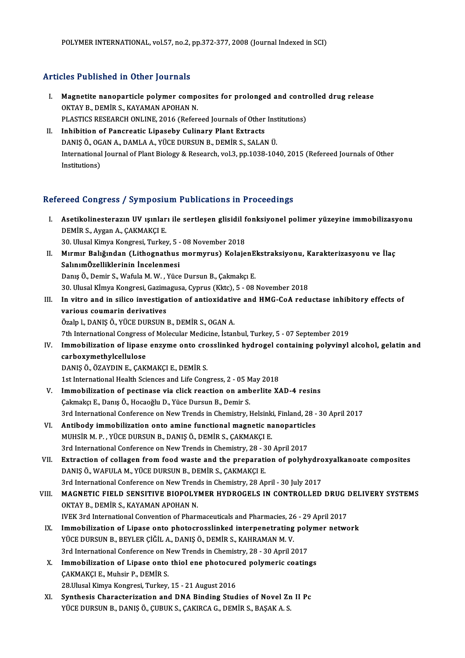#### Articles Published in Other Journals

- I. Magnetite nanoparticle polymer composites for prolonged and controlled drug release<br>I. Magnetite nanoparticle polymer composites for prolonged and controlled drug release Magnetite nanoparticle polymer competently below that the Magnetite nanoparticle polymer competently below that a particle polymer and the state of the state of the state of the state of the state of the state of the state Magnetite nanoparticle polymer composites for prolonged and contr<br>OKTAY B., DEMİR S., KAYAMAN APOHAN N.<br>PLASTICS RESEARCH ONLINE, 2016 (Refereed Journals of Other Institutions)<br>Inhibition of Pengreatic Lineseby Gulinery Pl OKTAY B., DEMIR S., KAYAMAN APOHAN N.<br>PLASTICS RESEARCH ONLINE, 2016 (Refereed Journals of Other<br>II. Inhibition of Pancreatic Lipaseby Culinary Plant Extracts<br>DANIS Ö. OCAN A. DAMI A.A. VÜCE DUBSIN B. DEMIR S. SALAI
- PLASTICS RESEARCH ONLINE, 2016 (Refereed Journals of Other Inst<br>Inhibition of Pancreatic Lipaseby Culinary Plant Extracts<br>DANIŞ Ö., OGAN A., DAMLA A., YÜCE DURSUN B., DEMİR S., SALAN Ü.<br>International Journal of Plant Pialo II. Inhibition of Pancreatic Lipaseby Culinary Plant Extracts<br>DANIŞ Ö., OGAN A., DAMLA A., YÜCE DURSUN B., DEMİR S., SALAN Ü.<br>International Journal of Plant Biology & Research, vol.3, pp.1038-1040, 2015 (Refereed Journals DANIS Ö., OGAN A., DAMLA A., YÜCE DURSUN B., DEMİR S., SALAN Ü.

#### Refereed Congress / Symposium Publications in Proceedings

- efereed Congress / Symposium Publications in Proceedings<br>I. Asetikolinesterazın UV ışınları ile sertleşen glisidil fonksiyonel polimer yüzeyine immobilizasyonu<br>DEMİR S. Aygan A. GAKMAKÇI E Asetikolinesterazın UV ışınlar<br>DEMİR S., Aygan A., ÇAKMAKÇI E.<br>20 Ulucal Vinus Vongresi Turka Asetikolinesterazın UV ışınları ile sertleşen glisidil f<br>DEMİR S., Aygan A., ÇAKMAKÇI E.<br>30. Ulusal Kimya Kongresi, Turkey, 5 - 08 November 2018<br>Mırmır Balığından (Lithegnathus mormurus) Kolaja DEMİR S., Aygan A., ÇAKMAKÇI E.<br>30. Ulusal Kimya Kongresi, Turkey, 5 - 08 November 2018<br>II. Mırmır Balığından (Lithognathus mormyrus) KolajenEkstraksiyonu, Karakterizasyonu ve İlaç<br>SalınımÖzelliklerinin İncelenmesi 30. Ulusal Kimya Kongresi, Turkey, 5 -<br>Mırmır Balığından (Lithognathus<br>SalınımÖzelliklerinin İncelenmesi<br>Danıs Ö. Demir S. Wafula M. W. Vüçe
- Mırmır Balığından (Lithognathus mormyrus) KolajenE<br>SalınımÖzelliklerinin İncelenmesi<br>Danış Ö., Demir S., Wafula M.W., Yüce Dursun B., Çakmakçı E.<br>20 Ulucal Kimua Kongresi Carimagusa Cunrus (Kita) 5 09. SalınımÖzelliklerinin İncelenmesi<br>Danış Ö., Demir S., Wafula M. W. , Yüce Dursun B., Çakmakçı E.<br>30. Ulusal Kİmya Kongresi, Gazimagusa, Cyprus (Kktc), 5 - 08 November 2018<br>In vitre and in silise investisation of antioxidat Danış Ö., Demir S., Wafula M. W. , Yüce Dursun B., Çakmakçı E.<br>30. Ulusal Kimya Kongresi, Gazimagusa, Cyprus (Kktc), 5 - 08 November 2018<br>III. In vitro and in silico investigation of antioxidative and HMG-CoA reductase inh
- 30. Ulusal Kİmya Kongresi, Gazima<br>In vitro and in silico investiga<br>various coumarin derivatives<br>Örela L DANIS Ö, VÜCE DURSUN I In vitro and in silico investigation of antioxidativ<br>various coumarin derivatives<br>Özalp l., DANIŞ Ö., YÜCE DURSUN B., DEMİR S., OGAN A.<br><sup>7th International Congress of Molegular Medicine, İstan</sup> various coumarin derivatives<br>Özalp I., DANIŞ Ö., YÜCE DURSUN B., DEMİR S., OGAN A.<br>7th International Congress of Molecular Medicine, İstanbul, Turkey, 5 - 07 September 2019

Özalp I., DANIŞ Ö., YÜCE DURSUN B., DEMİR S., OGAN A.<br>7th International Congress of Molecular Medicine, İstanbul, Turkey, 5 - 07 September 2019<br>IV. Immobilization of lipase enzyme onto crosslinked hydrogel containing polyv 7th International Congress<br>Immobilization of lipase<br>carboxymethylcellulose<br>DANIS Ö ÖZAVDIN E CAK Immobilization of lipase enzyme onto cro<br>carboxymethylcellulose<br>DANIŞ Ö., ÖZAYDIN E., ÇAKMAKÇI E., DEMİR S.<br>1st International Health Sciences and Life Cons carboxymethylcellulose<br>DANIŞ Ö., ÖZAYDIN E., ÇAKMAKÇI E., DEMİR S.<br>1st International Health Sciences and Life Congress, 2 - 05 May 2018<br>Immebilization of nestinese via elisk reastion en emberlite V.

- DANIŞ Ö., ÖZAYDIN E., ÇAKMAKÇI E., DEMİR S.<br>1st International Health Sciences and Life Congress, 2 05 May 2018<br>V. Immobilization of pectinase via click reaction on amberlite XAD-4 resins<br>Cakmakçı E., Danış Ö., Hocaoğlu D 1st International Health Sciences and Life Congress, 2 - 05 M<br>Immobilization of pectinase via click reaction on amb<br>Çakmakçı E., Danış Ö., Hocaoğlu D., Yüce Dursun B., Demir S. Immobilization of pectinase via click reaction on amberlite XAD-4 resins<br>Çakmakçı E., Danış Ö., Hocaoğlu D., Yüce Dursun B., Demir S.<br>3rd International Conference on New Trends in Chemistry, Helsinki, Finland, 28 - 30 Apri Cakmakçı E., Danış Ö., Hocaoğlu D., Yüce Dursun B., Demir S.<br>3rd International Conference on New Trends in Chemistry, Helsinki, Finland, 28 -<br>VI. Antibody immobilization onto amine functional magnetic nanoparticles<br>MURSE M
- 3rd International Conference on New Trends in Chemistry, Helsink<br>Antibody immobilization onto amine functional magnetic na<br>MUHSİR M. P. , YÜCE DURSUN B., DANIŞ Ö., DEMİR S., ÇAKMAKÇI E.<br>2rd International Conference on New Antibody immobilization onto amine functional magnetic nanoparticle<br>MUHSİR M. P. , YÜCE DURSUN B., DANIŞ Ö., DEMİR S., ÇAKMAKÇI E.<br>3rd International Conference on New Trends in Chemistry, 28 - 30 April 2017<br>Extraction of c
- MUHSIR M. P. , YÜCE DURSUN B., DANIŞ Ö., DEMIR S., ÇAKMAKÇI E.<br>3rd International Conference on New Trends in Chemistry, 28 30 April 2017<br>VII. Extraction of collagen from food waste and the preparation of polyhydroxyalkan 3rd International Conference on New Trends in Chemistry, 28 - 3<br>Extraction of collagen from food waste and the preparati<br>DANIŞ Ö., WAFULA M., YÜCE DURSUN B., DEMİR S., ÇAKMAKÇI E.<br>2rd International Conference on New Trends Extraction of collagen from food waste and the preparation of polyhydro<br>DANIŞ Ö., WAFULA M., YÜCE DURSUN B., DEMİR S., ÇAKMAKÇI E.<br>3rd International Conference on New Trends in Chemistry, 28 April - 30 July 2017<br>MACNETIC E 3rd International Conference on New Trends in Chemistry, 28 April - 30 July 2017
- DANIŞ Ö., WAFULA M., YÜCE DURSUN B., DEMİR S., ÇAKMAKÇI E.<br>3rd International Conference on New Trends in Chemistry, 28 April 30 July 2017<br>VIII. MAGNETIC FIELD SENSITIVE BIOPOLYMER HYDROGELS IN CONTROLLED DRUG DELIVERY SY MAGNETIC FIELD SENSITIVE BIOPOLYMER HYDROGELS IN CONTROLLED DRUG I<br>OKTAY B., DEMIR S., KAYAMAN APOHAN N.<br>IVEK 3rd International Convention of Pharmaceuticals and Pharmacies, 26 - 29 April 2017<br>Immebilization of Linese ante
	- IX. Immobilization of Lipase onto photocrosslinked interpenetrating polymer network IVEK 3rd International Convention of Pharmaceuticals and Pharmacies, 26<br>Immobilization of Lipase onto photocrosslinked interpenetrating<br>YÜCE DURSUN B., BEYLER ÇİĞİL A., DANIŞ Ö., DEMİR S., KAHRAMAN M. V.<br><sup>2nd</sup> Internationa Immobilization of Lipase onto photocrosslinked interpenetrating poly<br>YÜCE DURSUN B., BEYLER ÇİĞİL A., DANIŞ Ö., DEMİR S., KAHRAMAN M. V.<br>3rd International Conference on New Trends in Chemistry, 28 - 30 April 2017<br>Immobiliz YÜCE DURSUN B., BEYLER ÇİĞİL A., DANIŞ Ö., DEMİR S., KAHRAMAN M. V.<br>3rd International Conference on New Trends in Chemistry, 28 - 30 April 2017<br>X. Immobilization of Lipase onto thiol ene photocured polymeric coatings<br>CAYMA
- 3rd International Conference on N<br>Immobilization of Lipase onto<br>ÇAKMAKÇI E., Muhsir P., DEMİR S.<br>28 Ulusal Kimua Kongresi Turkay Immobilization of Lipase onto thiol ene photocur<br>ÇAKMAKÇI E., Muhsir P., DEMİR S.<br>28.Ulusal Kimya Kongresi, Turkey, 15 - 21 August 2016<br>Synthesis Chapasterization and DNA Binding Stud CAKMAKÇI E., Muhsir P., DEMİR S.<br>28.Ulusal Kimya Kongresi, Turkey, 15 - 21 August 2016<br>XI. Synthesis Characterization and DNA Binding Studies of Novel Zn II Pc
- YÜCE DURSUN B., DANIŞ Ö., ÇUBUK S., ÇAKIRCA G., DEMİR S., BAŞAK A. S.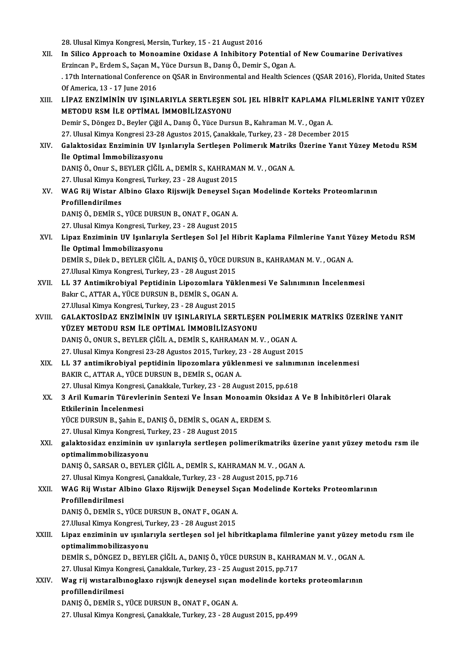28. Ulusal Kimya Kongresi, Mersin, Turkey, 15 - 21 August 2016 XII. In Silico Approach to Monoamine Oxidase A Inhibitory Potential of New Coumarine Derivatives 28. Ulusal Kimya Kongresi, Mersin, Turkey, 15 - 21 August 2016<br>In Silico Approach to Monoamine Oxidase A Inhibitory Potential of<br>Erzincan P., Erdem S., Saçan M., Yüce Dursun B., Danış Ö., Demir S., Ogan A.<br>17th Internation . 17th International Conference on QSAR in Environmental and Health Sciences (QSAR 2016), Florida, United States<br>Of America, 13 - 17 June 2016 Erzincan P., Erdem S., Saçan M.,<br>17th International Conference<br>Of America, 13 - 17 June 2016<br>11PAZ ENZIMININ HV ISINI XITER International Conference on QSAR in Environmental and Health Sciences (QSAR 2016), Florida, United States<br>Of America, 13 - 17 June 2016<br>XIII. LIPAZ ENZIMININ UV IŞINLARIYLA SERTLEŞEN SOL JEL HİBRİT KAPLAMA FİLMLERİNE Of America, 13 - 17 June 2016<br>LİPAZ ENZIMININ UV IŞINLARIYLA SERTLEŞEN :<br>METODU RSM İLE OPTİMAL İMMOBİLİZASYONU<br>Demir S. Döngez D. Beyler Giğil A. Danıs Ö. Yüse Durs LİPAZ ENZİMİNİN UV IŞINLARIYLA SERTLEŞEN SOL JEL HİBRİT KAPLAMA F<br>METODU RSM İLE OPTİMAL İMMOBİLİZASYONU<br>Demir S., Döngez D., Beyler Çiğil A., Danış Ö., Yüce Dursun B., Kahraman M. V. , Ogan A.<br>27 Hlucel Kimya Kongresi 22. METODU RSM İLE OPTİMAL İMMOBİLİZASYONU<br>Demir S., Döngez D., Beyler Çiğil A., Danış Ö., Yüce Dursun B., Kahraman M. V. , Ogan A.<br>27. Ulusal Kimya Kongresi 23-28 Agustos 2015, Çanakkale, Turkey, 23 - 28 December 2015<br>Calakte Demir S., Döngez D., Beyler Çiğil A., Danış Ö., Yüce Dursun B., Kahraman M. V. , Ogan A.<br>27. Ulusal Kimya Kongresi 23-28 Agustos 2015, Çanakkale, Turkey, 23 - 28 December 2015<br>XIV. Galaktosidaz Enziminin UV Işınlarıyla 27. Ulusal Kimya Kongresi 23-28<br>Galaktosidaz Enziminin UV Iş<br>İle Optimal İmmobilizasyonu<br>DANIS Ö Opur S. BEVI ER CİĞİL Galaktosidaz Enziminin UV Işınlarıyla Sertleşen Polimerık Matriks<br>İle Optimal İmmobilizasyonu<br>DANIŞ Ö., Onur S., BEYLER ÇİĞİL A., DEMİR S., KAHRAMAN M. V. , OGAN A.<br>27 Illucal Kimua Kongresi Turkey 22, 28 Aygust 2015 İle Optimal İmmobilizasyonu<br>DANIŞ Ö., Onur S., BEYLER ÇİĞİL A., DEMİR S., KAHRAMAN M. V. , OGAN A.<br>27. Ulusal Kimya Kongresi, Turkey, 23 - 28 August 2015 DANIŞ Ö., Onur S., BEYLER ÇİĞİL A., DEMİR S., KAHRAMAN M. V. , OGAN A.<br>27. Ulusal Kimya Kongresi, Turkey, 23 - 28 August 2015<br>XV. WAG Rij Wistar Albino Glaxo Rijswijk Deneysel Sıçan Modelinde Korteks Proteomlarının<br>Pro 27. Ulusal Kimya Ko<br>WAG Rij Wistar A<br>Profillendirilmes<br>DANIS Ö DEMIR S WAG Rij Wistar Albino Glaxo Rijswijk Deneysel S1<br>Profillendirilmes<br>DANIŞ Ö., DEMİR S., YÜCE DURSUN B., ONAT F., OGAN A.<br>27 Hlucel Kimua Kongresi Turkey, 22, 28 Aygust 2015 Profillendirilmes<br>DANIŞ Ö., DEMİR S., YÜCE DURSUN B., ONAT F., OGAN A.<br>27. Ulusal Kimya Kongresi, Turkey, 23 - 28 August 2015<br>Linez Engiminin IIV Jemlenuyla Sertlesen Sol Jol Hi XVI. Lipaz Enziminin UV Işınlarıyla Sertleşen Sol Jel Hibrit Kaplama Filmlerine Yanıt Yüzey Metodu RSM<br>İle Optimal İmmobilizasyonu 27. Ulusal Kimya Kongresi, Turkey, 23 - 28 August 2015 Lipaz Enziminin UV Işınlarıyla Sertleşen Sol Jel Hibrit Kaplama Filmlerine Yanıt Yü<br>İle Optimal İmmobilizasyonu<br>DEMİR S., Dilek D., BEYLER ÇİĞİL A., DANIŞ Ö., YÜCE DURSUN B., KAHRAMAN M. V. , OGAN A.<br>27 Hivesl Kimya Kangre İle Optimal İmmobilizasyonu<br>DEMİR S., Dilek D., BEYLER ÇİĞİL A., DANIŞ Ö., YÜCE DU!<br>27.Ulusal Kimya Kongresi, Turkey, 23 - 28 August 2015<br>U. 27. Antimikrobiyal Pontidinin Linozomlara Yük DEMİR S., Dilek D., BEYLER ÇİĞİL A., DANIŞ Ö., YÜCE DURSUN B., KAHRAMAN M. V. , OGAN A.<br>27.Ulusal Kimya Kongresi, Turkey, 23 - 28 August 2015<br>XVII. LL 37 Antimikrobiyal Peptidinin Lipozomlara Yüklenmesi Ve Salınımının İnce 27.Ulusal Kimya Kongresi, Turkey, 23 - 28 August 2015<br>LL 37 Antimikrobiyal Peptidinin Lipozomlara Yük<br>Bakır C., ATTAR A., YÜCE DURSUN B., DEMİR S., OGAN A. LL 37 Antimikrobiyal Peptidinin Lipozomlara Yük<br>Bakır C., ATTAR A., YÜCE DURSUN B., DEMİR S., OGAN A.<br>27.Ulusal Kimya Kongresi, Turkey, 23 - 28 August 2015<br>6.ALAKTOSİDAZ ENZİMİNİN UV ISINLARIYLA SER Bakır C., ATTAR A., YÜCE DURSUN B., DEMİR S., OGAN A.<br>27.Ulusal Kimya Kongresi, Turkey, 23 - 28 August 2015<br>XVIII. GALAKTOSİDAZ ENZİMİNİN UV IŞINLARIYLA SERTLEŞEN POLİMERIK MATRİKS ÜZERİNE YANIT<br>YÜZEY METODU BSM İLE OR 27.Ulusal Kimya Kongresi, Turkey, 23 - 28 August 2015<br>GALAKTOSİDAZ ENZİMİNİN UV IŞINLARIYLA SERTLEŞEN POLİMER<br>YÜZEY METODU RSM İLE OPTİMAL İMMOBİLİZASYONU<br>DANIS Ö., ONUR S., BEYLER CİĞİL A., DEMİR S., KAHRAMAN M. V. , OGAN GALAKTOSİDAZ ENZİMİNİN UV IŞINLARIYLA SERTLEŞEN POLİMEF<br>YÜZEY METODU RSM İLE OPTİMAL İMMOBİLİZASYONU<br>DANIŞ Ö., ONUR S., BEYLER ÇİĞİL A., DEMİR S., KAHRAMAN M. V. , OGAN A.<br>27 Hiyesi Kimya Kongresi 22-28 Agustas 2015 Turkay 27.UlusalKimyaKongresi23-28Agustos2015,Turkey,23 -28August2015 DANIŞ Ö., ONUR S., BEYLER ÇİĞİL A., DEMİR S., KAHRAMAN M. V. , OGAN A.<br>27. Ulusal Kimya Kongresi 23-28 Agustos 2015, Turkey, 23 - 28 August 2015<br>XIX. LL 37 antimikrobiyal peptidinin lipozomlara yüklenmesi ve salınımını 27. Ulusal Kimya Kongresi 23-28 Agustos 2015, Turkey, 2<br>LL 37 antimikrobiyal peptidinin lipozomlara yükle:<br>BAKIR C., ATTAR A., YÜCE DURSUN B., DEMİR S., OGAN A.<br>27. Ulusal Kimya Kongresi, Canakkala Turkey, 22., 28. Ay LL 37 antimikrobiyal peptidinin lipozomlara yüklenmesi ve salınım<br>BAKIR C., ATTAR A., YÜCE DURSUN B., DEMİR S., OGAN A.<br>27. Ulusal Kimya Kongresi, Çanakkale, Turkey, 23 - 28 August 2015, pp.618<br>3. Aril Kumarin Türqvlarinin BAKIR C., ATTAR A., YÜCE DURSUN B., DEMİR S., OGAN A.<br>27. Ulusal Kimya Kongresi, Çanakkale, Turkey, 23 - 28 August 2015, pp.618<br>XX. 3 Aril Kumarin Türevlerinin Sentezi Ve İnsan Monoamin Oksidaz A Ve B İnhibitörleri Ola 27. Ulusal Kimya Kongresi,<br>3 Aril Kumarin Türevle<br>Etkilerinin İncelenmesi<br>YÜCE DURSUN B. Sobin E 3 Aril Kumarin Türevlerinin Sentezi Ve İnsan Monoamin Ol<br>Etkilerinin İncelenmesi<br>YÜCE DURSUN B., Şahin E., DANIŞ Ö., DEMİR S., OGAN A., ERDEM S.<br>27 Hlugel Kimua Kongresi Turkey 22, 28 Aygust 2015 Etkilerinin İncelenmesi<br>YÜCE DURSUN B., Şahin E., DANIŞ Ö., DEMİR S., OGAN A.,<br>27. Ulusal Kimya Kongresi, Turkey, 23 - 28 August 2015<br>Salaktasidar onsiminin uyusunlanıyla sartlasan nal XÜCE DURSUN B., Şahin E., DANIŞ Ö., DEMİR S., OGAN A., ERDEM S.<br>27. Ulusal Kimya Kongresi, Turkey, 23 - 28 August 2015<br>XXI. galaktosidaz enziminin uv ışınlarıyla sertleşen polimerikmatriks üzerine yanıt yüzey metodu rsm il 27. Ulusal Kimya Kongresi, T<br>galaktosidaz enziminin u<br>optimalimmobilizasyonu<br>DANIS Ö. SARSAR O. REVI E galaktosidaz enziminin uv ışınlarıyla sertleşen polimerikmatriks üze:<br>optimalimmobilizasyonu<br>DANIŞ Ö., SARSAR O., BEYLER ÇİĞİL A., DEMİR S., KAHRAMAN M. V. , OGAN A.<br>27 Hlucel Kimya Kongresi Canakkala Turkay 22 - 28 Aygust optimalimmobilizasyonu<br>DANIŞ Ö., SARSAR O., BEYLER ÇİĞİL A., DEMİR S., KAHRAMAN M. V. , OGAN .<br>27. Ulusal Kimya Kongresi, Çanakkale, Turkey, 23 - 28 August 2015, pp.716<br>WAC Bij Wister Albine Clave Bijawijk Denevçel Sıcan M DANIŞ Ö., SARSAR O., BEYLER ÇİĞİL A., DEMİR S., KAHRAMAN M. V. , OGAN A.<br>27. Ulusal Kimya Kongresi, Çanakkale, Turkey, 23 - 28 August 2015, pp.716<br>XXII. WAG Rij Wıstar Albino Glaxo Rijswijk Deneysel Sıçan Modelinde Kor 27. Ulusal Kimya Kongresi, Çanakkale, Turkey, 23 - 28 August 2015, pp.716<br>WAG Rij Wıstar Albino Glaxo Rijswijk Deneysel Sıçan Modelinde K<br>Profillendirilmesi WAG Rij Wıstar Albino Glaxo Rijswijk Deneysel Sı<br>Profillendirilmesi<br>DANIŞ Ö., DEMİR S., YÜCE DURSUN B., ONAT F., OGAN A.<br>27 Husel Kimya Kongresi Turkey 22 - 28 Aygust 2015 DANIS Ö., DEMİR S., YÜCE DURSUN B., ONAT F., OGAN A. XXIII. Lipaz enziminin uv ışınlarıyla sertleşen sol jel hibritkaplama filmlerine yanıt yüzey metodu rsm ile<br>optimalimmobilizasvonu 27 Ulusal Kimya Kongresi, Turkey, 23 - 28 August 2015 Lipaz enziminin uv ışınlarıyla sertleşen sol jel hibritkaplama filmlerine yanıt yüzey m<br>optimalimmobilizasyonu<br>DEMİR S., DÖNGEZ D., BEYLER ÇİĞİL A., DANIŞ Ö., YÜCE DURSUN B., KAHRAMAN M. V. , OGAN A.<br>27 Hlusel Kimye Kongre optimalimmobilizasyonu<br>DEMİR S., DÖNGEZ D., BEYLER ÇİĞİL A., DANIŞ Ö., YÜCE DURSUN B., KAHRA<br>27. Ulusal Kimya Kongresi, Çanakkale, Turkey, 23 - 25 August 2015, pp.717<br>Weg rij uvataralbungglave niquyik danavçal ayan modelin DEMİR S., DÖNGEZ D., BEYLER ÇİĞİL A., DANIŞ Ö., YÜCE DURSUN B., KAHRAMAN M. V. , OGAN A.<br>27. Ulusal Kimya Kongresi, Çanakkale, Turkey, 23 - 25 August 2015, pp.717<br>XXIV. Wag rij wıstaralbınoglaxo rıjswıjk deneysel sıçan 27. Ulusal Kimya Kongresi, Çanakkale, Turkey, 23 - 25 August 2015, pp.717<br>Wag rij wıstaralbınoglaxo rıjswıjk deneysel sıçan modelinde korte<br>profillendirilmesi<br>DANIŞ Ö., DEMİR S., YÜCE DURSUN B., ONAT F., OGAN A. Wag rij wıstaralbınoglaxo rıjswıjk deneysel sıçan<br>profillendirilmesi<br>DANIŞ Ö., DEMİR S., YÜCE DURSUN B., ONAT F., OGAN A.<br>27 Hlucel Kimus Kongresi Canakkala Turkay 22, 28 A. 27. Ulusal Kimya Kongresi, Çanakkale, Turkey, 23 - 28 August 2015, pp.499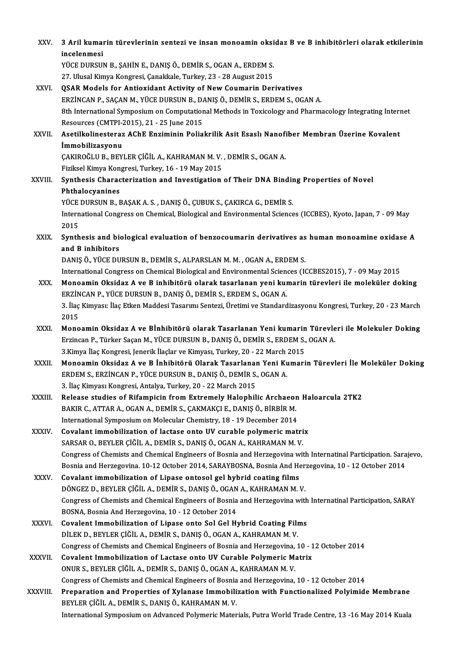| XXV.          | 3 Aril kumarin türevlerinin sentezi ve insan monoamin oksidaz B ve B inhibitörleri olarak etkilerinin<br>incelenmesi                                                                    |
|---------------|-----------------------------------------------------------------------------------------------------------------------------------------------------------------------------------------|
|               | YÜCE DURSUN B., ŞAHİN E., DANIŞ Ö., DEMİR S., OGAN A., ERDEM S.                                                                                                                         |
|               | 27. Ulusal Kimya Kongresi, Çanakkale, Turkey, 23 - 28 August 2015                                                                                                                       |
| XXVI.         | <b>QSAR Models for Antioxidant Activity of New Coumarin Derivatives</b>                                                                                                                 |
|               | ERZİNCAN P., SAÇAN M., YÜCE DURSUN B., DANIŞ Ö., DEMİR S., ERDEM S., OGAN A.                                                                                                            |
|               | 8th International Symposium on Computational Methods in Toxicology and Pharmacology Integrating Internet<br>Resources (CMTPI-2015), 21 - 25 June 2015                                   |
| XXVII.        | Asetilkolinesteraz AChE Enziminin Poliakrilik Asit Esaslı Nanofiber Membran Üzerine Kovalent                                                                                            |
|               | İmmobilizasyonu                                                                                                                                                                         |
|               | ÇAKIROĞLU B., BEYLER ÇIĞİL A., KAHRAMAN M. V., DEMİR S., OGAN A.                                                                                                                        |
|               | Fiziksel Kimya Kongresi, Turkey, 16 - 19 May 2015                                                                                                                                       |
| XXVIII.       | Synthesis Characterization and Investigation of Their DNA Binding Properties of Novel<br>Phthalocyanines                                                                                |
|               | YÜCE DURSUN B., BAŞAK A. S., DANIŞ Ö., ÇUBUK S., ÇAKIRCA G., DEMİR S.                                                                                                                   |
|               | International Congress on Chemical, Biological and Environmental Sciences (ICCBES), Kyoto, Japan, 7 - 09 May<br>2015                                                                    |
| XXIX.         | Synthesis and biological evaluation of benzocoumarin derivatives as human monoamine oxidase A<br>and B inhibitors                                                                       |
|               | DANIŞ Ö., YÜCE DURSUN B., DEMİR S., ALPARSLAN M. M., OGAN A., ERDEM S.                                                                                                                  |
|               | International Congress on Chemical Biological and Environmental Sciences (ICCBES2015), 7 - 09 May 2015                                                                                  |
| XXX.          | Monoamin Oksidaz A ve B inhibitörü olarak tasarlanan yeni kumarin türevleri ile moleküler doking                                                                                        |
|               | ERZİNCAN P., YÜCE DURSUN B., DANIŞ Ö., DEMİR S., ERDEM S., OGAN A.                                                                                                                      |
|               | 3. İlaç Kimyası: İlaç Etken Maddesi Tasarımı Sentezi, Üretimi ve Standardizasyonu Kongresi, Turkey, 20 - 23 March                                                                       |
|               | 2015                                                                                                                                                                                    |
| XXXI.         | Monoamin Oksidaz A ve Bİnhibitörü olarak Tasarlanan Yeni kumarin Türevleri ile Molekuler Doking<br>Erzincan P., Türker Saçan M., YÜCE DURSUN B., DANIŞ Ö., DEMİR S., ERDEM S., OGAN A.  |
|               | 3 Kimya İlaç Kongresi, Jenerik İlaçlar ve Kimyası, Turkey, 20 - 22 March 2015                                                                                                           |
| <b>XXXII</b>  | Monoamin Oksidaz A ve B İnhibitörü Olarak Tasarlanan Yeni Kumarin Türevleri İle Moleküler Doking<br>ERDEM S., ERZİNCAN P., YÜCE DURSUN B., DANIŞ Ö., DEMİR S., OGAN A.                  |
|               | 3. İlaç Kimyası Kongresi, Antalya, Turkey, 20 - 22 March 2015                                                                                                                           |
| <b>XXXIII</b> | Release studies of Rifampicin from Extremely Halophilic Archaeon Haloarcula 2TK2                                                                                                        |
|               | BAKIR C., ATTAR A., OGAN A., DEMİR S., ÇAKMAKÇI E., DANIŞ Ö., BİRBİR M.                                                                                                                 |
|               | International Symposium on Molecular Chemistry, 18 - 19 December 2014                                                                                                                   |
| XXXIV.        | Covalant immobilization of lactase onto UV curable polymeric matrix                                                                                                                     |
|               | SARSAR O., BEYLER ÇİĞİL A., DEMİR S., DANIŞ Ö., OGAN A., KAHRAMAN M. V.                                                                                                                 |
|               | Congress of Chemists and Chemical Engineers of Bosnia and Herzegovina with Internatinal Participation. Sarajevo,                                                                        |
|               | Bosnia and Herzegovina. 10-12 October 2014, SARAYBOSNA, Bosnia And Herzegovina, 10 - 12 October 2014                                                                                    |
| XXXV.         | Covalant immobilization of Lipase ontosol gel hybrid coating films                                                                                                                      |
|               | DÖNGEZ D., BEYLER ÇİĞİL A., DEMİR S., DANIŞ Ö., OGAN A., KAHRAMAN M. V.<br>Congress of Chemists and Chemical Engineers of Bosnia and Herzegovina with Internatinal Participation, SARAY |
|               | BOSNA, Bosnia And Herzegovina, 10 - 12 October 2014                                                                                                                                     |
| <b>XXXVI</b>  | Covalent Immobilization of Lipase onto Sol Gel Hybrid Coating Films                                                                                                                     |
|               | DİLEK D., BEYLER ÇİĞİL A., DEMİR S., DANIŞ Ö., OGAN A., KAHRAMAN M. V.                                                                                                                  |
|               | Congress of Chemists and Chemical Engineers of Bosnia and Herzegovina, 10 - 12 October 2014                                                                                             |
| <b>XXXVII</b> | Covalent Immobilization of Lactase onto UV Curable Polymeric Matrix                                                                                                                     |
|               | ONUR S., BEYLER ÇİĞİL A., DEMİR S., DANIŞ Ö., OGAN A., KAHRAMAN M. V.                                                                                                                   |
|               | Congress of Chemists and Chemical Engineers of Bosnia and Herzegovina, 10 - 12 October 2014                                                                                             |
| XXXVIII.      | Preparation and Properties of Xylanase Immobilization with Functionalized Polyimide Membrane<br>BEYLER ÇİĞİL A., DEMİR S., DANIŞ Ö., KAHRAMAN M.V.                                      |
|               | International Symposium on Advanced Polymeric Materials, Putra World Trade Centre, 13 -16 May 2014 Kuala                                                                                |
|               |                                                                                                                                                                                         |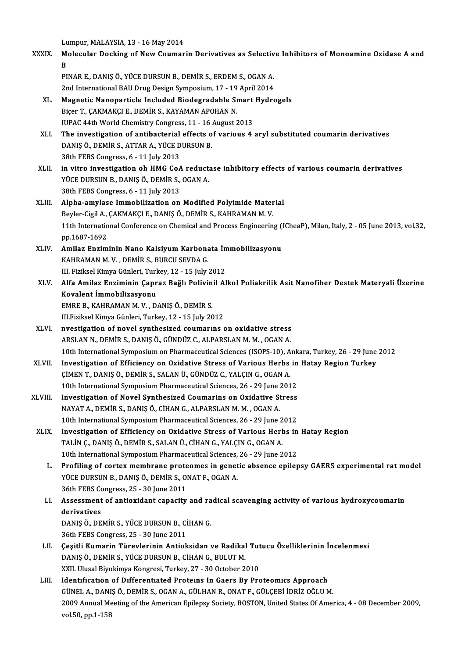Lumpur, MALAYSIA, 13 - 16 May 2014

XXXIX. Molecular Docking of New Coumarin Derivatives as Selective Inhibitors of Monoamine Oxidase A and Lu<br>M<br>Du Molecular Docking of New Coumarin Derivatives as Selectiv<br>B<br>PINAR E., DANIŞ Ö., YÜCE DURSUN B., DEMİR S., ERDEM S., OGAN A.<br>2nd International PAH Drug Design Sumpesium 17, 19 April 2014

<mark>B</mark><br>PINAR E., DANIŞ Ö., YÜCE DURSUN B., DEMİR S., ERDEM S., OGAN A.<br>2nd International BAU Drug Design Symposium, 17 - 19 April 2014<br>Magnetis Napopostisle Insluded Biodesradable Smart Hydro PINAR E., DANIŞ Ö., YÜCE DURSUN B., DEMİR S., ERDEM S., OGAN A.<br>2nd International BAU Drug Design Symposium, 17 - 19 April 2014<br>XL. Magnetic Nanoparticle Included Biodegradable Smart Hydrogels<br>Picer T. CAKMAKCUE, DEMİR S.

- 2nd International BAU Drug Design Symposium, 17 19 April 2014<br>Magnetic Nanoparticle Included Biodegradable Smart Hydro<br>Biçer T., ÇAKMAKÇI E., DEMİR S., KAYAMAN APOHAN N.<br>IUPAC 44th World Chemistry Congress, 11 16 Augus Magnetic Nanoparticle Included Biodegradable Smart<br>Biçer T., ÇAKMAKÇI E., DEMİR S., KAYAMAN APOHAN N.<br>IUPAC 44th World Chemistry Congress, 11 - 16 August 2013<br>The investigation of antibacterial offects of various 4. Biçer T., ÇAKMAKÇI E., DEMİR S., KAYAMAN APOHAN N.<br>IUPAC 44th World Chemistry Congress, 11 - 16 August 2013<br>XLI. The investigation of antibacterial effects of various 4 aryl substituted coumarin derivatives<br>DANIS Ö DEMİR S
- IUPAC 44th World Chemistry Congress, 11 16.<br>The investigation of antibacterial effects o<br>DANIŞ Ö., DEMİR S., ATTAR A., YÜCE DURSUN B.<br>20th EERS CORTESS 6 11 July 2012 The investigation of antibacterial<br>DANIŞ Ö., DEMİR S., ATTAR A., YÜCE D<br>38th FEBS Congress, 6 - 11 July 2013<br>in vitre investigation ob HMC Co. DANIŞ Ö., DEMİR S., ATTAR A., YÜCE DURSUN B.<br>38th FEBS Congress, 6 - 11 July 2013<br>XLII. in vitro investigation oh HMG CoA reductase inhibitory effects of various coumarin derivatives<br>yüce pursun p. panis Ö. pemir s. OCAN A
- 38th FEBS Congress, 6 11 July 2013<br>in vitro investigation oh HMG CoA reduct:<br>YÜCE DURSUN B., DANIŞ Ö., DEMİR S., OGAN A. YÜCE DURSUN B., DANIŞ Ö., DEMİR S., OGAN A.<br>38th FEBS Congress, 6 - 11 July 2013
- XLIII. Alpha-amylase Immobilization on Modified Polyimide Material 38th FEBS Congress, 6 - 11 July 2013<br>Alpha-amylase Immobilization on Modified Polyimide Mater<br>Beyler-Cigil A., ÇAKMAKÇI E., DANIŞ Ö., DEMİR S., KAHRAMAN M. V.<br>11th International Conference on Chemical and Presses Engineeri 11th International Conference on Chemical and Process Engineering (ICheaP), Milan, Italy, 2 - 05 June 2013, vol.32, pp. 1687-1692 Beyler-Cigil A.,<br>11th Internatio<br>pp.1687-1692<br>Amilar Engim 11th International Conference on Chemical and Process Engineering (1<br>pp.1687-1692<br>XLIV. Amilaz Enziminin Nano Kalsiyum Karbonata İmmobilizasyonu<br>KAHRAMAN M.V. DEMİR S. BURCU SEVDA C
- pp.1687-1692<br>Amilaz Enziminin Nano Kalsiyum Karbona<br>KAHRAMAN M.V. , DEMİR S., BURCU SEVDA G.<br>W. Firikaal Kimua Günlari Turkay 12, 15 July 1 Amilaz Enziminin Nano Kalsiyum Karbonata İn<br>KAHRAMAN M. V. , DEMİR S., BURCU SEVDA G.<br>III. Fiziksel Kimya Günleri, Turkey, 12 - 15 July 2012<br>Alfa Amilaz Enziminin Ganraz Bağlı Boliyinil Al III. Fiziksel Kimya Günleri, Turkey, 12 - 15 July 2012
- XAHRAMAN M. V. , DEMİR S., BURCU SEVDA G.<br>III. Fiziksel Kimya Günleri, Turkey, 12 15 July 2012<br>XLV. Alfa Amilaz Enziminin Çapraz Bağlı Polivinil Alkol Poliakrilik Asit Nanofiber Destek Materyali Üzerine<br>Kovalent İmmo Alfa Amilaz Enziminin Çapraz Bağlı Polivin<br>Kovalent İmmobilizasyonu<br>EMRE B., KAHRAMAN M. V. , DANIŞ Ö., DEMİR S.<br>III Fizikeel Kimve Günleri Turkey 12 - 15 July 20
	- Kovalent İmmobilizasyonu<br>EMRE B., KAHRAMAN M. V. , DANIŞ Ö., DEMİR S.<br>III.Fiziksel Kimya Günleri, Turkey, 12 15 July 2012<br>nyastisatlan of naval synthosised saymanına s
	-
- EMRE B., KAHRAMAN M. V. , DANIŞ Ö., DEMİR S.<br>III.Fiziksel Kimya Günleri, Turkey, 12 15 July 2012<br>XLVI. nvestigation of novel synthesized coumarins on oxidative stress<br>ARSI AN N. DEMİR S. DANIS Ö. GÜNDÜZ C. ALBARSI AN M. III.Fiziksel Kimya Günleri, Turkey, 12 - 15 July 2012<br>nvestigation of novel synthesized coumarins on oxidative stress<br>ARSLAN N., DEMİR S., DANIŞ Ö., GÜNDÜZ C., ALPARSLAN M. M. , OGAN A.<br>10th International Sumnesium en Phar ARSLAN N., DEMİR S., DANIŞ Ö., GÜNDÜZ C., ALPARSLAN M. M. , OGAN A.<br>10th International Symposium on Pharmaceutical Sciences (ISOPS-10), Ankara, Turkey, 26 - 29 June 2012 ARSLAN N., DEMİR S., DANIŞ Ö., GÜNDÜZ C., ALPARSLAN M. M. , OGAN A.<br>10th International Symposium on Pharmaceutical Sciences (ISOPS-10), Ankara, Turkey, 26 - 29 June<br>XLVII. Investigation of Efficiency on Oxidative Stress of
- 10th International Symposium on Pharmaceutical Sciences (ISOPS-10), A<br>Investigation of Efficiency on Oxidative Stress of Various Herbs<br>ÇİMEN T., DANIŞ Ö., DEMİR S., SALAN Ü., GÜNDÜZ C., YALÇIN G., OGAN A.<br>10th Internationa Investigation of Efficiency on Oxidative Stress of Various Herbs in<br>CIMEN T., DANIŞ Ö., DEMIR S., SALAN Ü., GÜNDÜZ C., YALÇIN G., OGAN A.<br>10th International Symposium Pharmaceutical Sciences, 26 - 29 June 2012<br>Investigatio CIMEN T., DANIŞ Ö., DEMIR S., SALAN Ü., GÜNDÜZ C., YALÇIN G., OGAN A.<br>10th International Symposium Pharmaceutical Sciences, 26 - 29 June 2012<br>XLVIII. Investigation of Novel Synthesized Coumarins on Oxidative Stress
- 10th International Symposium Pharmaceutical Sciences, 26 29 June :<br>Investigation of Novel Synthesized Coumarins on Oxidative St<br>NAYAT A., DEMİR S., DANIŞ Ö., CİHAN G., ALPARSLAN M. M. , OGAN A.<br>10th International Symposi Investigation of Novel Synthesized Coumarins on Oxidative Stress<br>NAYAT A., DEMİR S., DANIŞ Ö., CİHAN G., ALPARSLAN M. M. , OGAN A.<br>10th International Symposium Pharmaceutical Sciences, 26 - 29 June 2012<br>Investigation of Ef NAYAT A., DEMIR S., DANIŞ Ö., CİHAN G., ALPARSLAN M. M. , OGAN A.<br>10th International Symposium Pharmaceutical Sciences, 26 - 29 June 2012<br>XLIX. Investigation of Efficiency on Oxidative Stress of Various Herbs in Hatay Regi
- 10th International Symposium Pharmaceutical Sciences, 26 29 June 2<br>Investigation of Efficiency on Oxidative Stress of Various Herl<br>TALİN Ç., DANIŞ Ö., DEMİR S., SALAN Ü., CİHAN G., YALÇIN G., OGAN A.<br>10th International S Investigation of Efficiency on Oxidative Stress of Various Herbs in<br>TALİN Ç., DANIŞ Ö., DEMİR S., SALAN Ü., CİHAN G., YALÇIN G., OGAN A.<br>10th International Symposium Pharmaceutical Sciences, 26 - 29 June 2012<br>Profiling of TALIN Ç., DANIŞ Ö., DEMIR S., SALAN Ü., CİHAN G., YALÇIN G., OGAN A.<br>10th International Symposium Pharmaceutical Sciences, 26 - 29 June 2012<br>L. Profiling of cortex membrane proteomes in genetic absence epilepsy GAERS exper
	- 10th International Symposium Pharmaceutical Sciences,<br>Profiling of cortex membrane proteomes in genet<br>YÜCE DURSUN B., DANIŞ Ö., DEMİR S., ONAT F., OGAN A. Profiling of cortex membrane prote<br>YÜCE DURSUN B., DANIŞ Ö., DEMİR S., Ol<br>36th FEBS Congress, 25 - 30 June 2011<br>Assessment of antiexident senesity YÜCE DURSUN B., DANIŞ Ö., DEMİR S., ONAT F., OGAN A.<br>36th FEBS Congress, 25 - 30 June 2011<br>LI. Assessment of antioxidant capacity and radical scavenging activity of various hydroxycoumarin<br>derivatives
	- 36th FEBS Co<br>Assessment<br>derivatives<br>DANIS Ö-DE Assessment of antioxidant capacity and ra<br>derivatives<br>DANIŞ Ö., DEMİR S., YÜCE DURSUN B., CİHAN G.<br>26th EERS CORTESSE 25, 20 June 2011 derivatives<br>DANIŞ Ö., DEMİR S., YÜCE DURSUN B., CİHAN G.<br>36th FEBS Congress, 25 - 30 June 2011
		-
	- LII. Cesitli Kumarin Türevlerinin Antioksidan ve Radikal Tutucu Özelliklerinin İncelenmesi 36th FEBS Congress, 25 - 30 June 2011<br>Çeşitli Kumarin Türevlerinin Antioksidan ve Radikal<br>DANIŞ Ö., DEMİR S., YÜCE DURSUN B., CİHAN G., BULUT M.<br>YYU Hlusel Biyekimya Kongresi Turkey 27 - 30 Ostaber 2 Çeşitli Kumarin Türevlerinin Antioksidan ve Radikal Tut<br>DANIŞ Ö., DEMİR S., YÜCE DURSUN B., CİHAN G., BULUT M.<br>XXII. Ulusal Biyokimya Kongresi, Turkey, 27 - 30 October 2010<br>Identification of Differentiated Brotains In Caer DANIŞ Ö., DEMİR S., YÜCE DURSUN B., CİHAN G., BULUT M.<br>XXII. Ulusal Biyokimya Kongresi, Turkey, 27 - 30 October 2010<br>LIII. Identification of Differentiated Proteins In Gaers By Proteomics Approach<br>CÜNEL A. DANIS Ö. DEMİR S
	- XXII. Ulusal Biyokimya Kongresi, Turkey, 27 30 October 2010<br>Identification of Differentiated Proteins In Gaers By Proteomics Approach<br>GÜNEL A., DANIŞ Ö., DEMİR S., OGAN A., GÜLHAN R., ONAT F., GÜLÇEBİ İDRİZ OĞLU M.<br>2009 Identification of Differentiated Proteins In Gaers By Proteomics Approach<br>GÜNEL A., DANIŞ Ö., DEMİR S., OGAN A., GÜLHAN R., ONAT F., GÜLÇEBİ İDRİZ OĞLU M.<br>2009 Annual Meeting of the American Epilepsy Society, BOSTON, Unite GÜNEL A., DANI<br>2009 Annual Me<br>vol.50, pp.1-158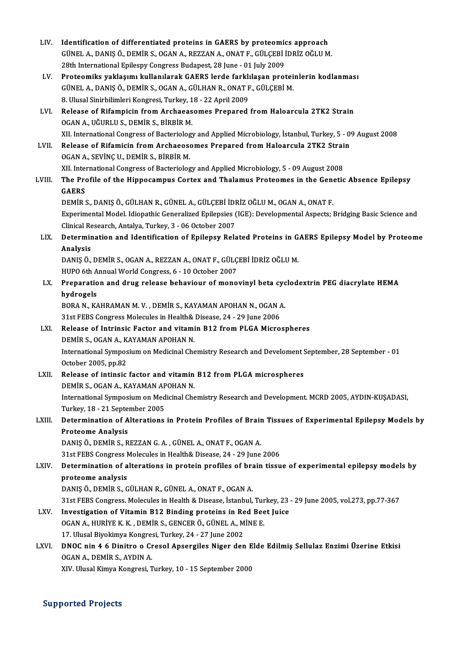| LIV.   | Identification of differentiated proteins in GAERS by proteomics approach                                               |
|--------|-------------------------------------------------------------------------------------------------------------------------|
|        | GÜNEL A., DANIŞ Ö., DEMİR S., OGAN A., REZZAN A., ONAT F., GÜLÇEBİ İDRİZ OĞLU M.                                        |
|        | 28th International Epilespy Congress Budapest, 28 June - 01 July 2009                                                   |
| LV.    | Proteomiks yaklaşımı kullanılarak GAERS lerde farklılaşan proteinlerin kodlanması                                       |
|        | GÜNEL A., DANIŞ Ö., DEMİR S., OGAN A., GÜLHAN R., ONAT F., GÜLÇEBİ M.                                                   |
|        | 8. Ulusal Sinirbilimleri Kongresi, Turkey, 18 - 22 April 2009                                                           |
| LVI.   | Release of Rifampicin from Archaeasomes Prepared from Haloarcula 2TK2 Strain<br>OGAN A., UĞURLU S., DEMİR S., BİRBİR M. |
|        | XII. International Congress of Bacteriology and Applied Microbiology, İstanbul, Turkey, 5 - 09 August 2008              |
| LVII.  | Release of Rifamicin from Archaeosomes Prepared from Haloarcula 2TK2 Strain                                             |
|        | OGAN A., SEVINÇ U., DEMIR S., BIRBIR M.                                                                                 |
|        | XII. International Congress of Bacteriology and Applied Microbiology, 5 - 09 August 2008                                |
| LVIII. | The Profile of the Hippocampus Cortex and Thalamus Proteomes in the Genetic Absence Epilepsy<br><b>GAERS</b>            |
|        | DEMİR S., DANIŞ Ö., GÜLHAN R., GÜNEL A., GÜLÇEBİ İDRİZ OĞLU M., OGAN A., ONAT F.                                        |
|        | Experimental Model. Idiopathic Generalized Epilepsies (IGE): Developmental Aspects; Bridging Basic Science and          |
|        | Clinical Research, Antalya, Turkey, 3 - 06 October 2007                                                                 |
| LIX.   | Determination and Identification of Epilepsy Related Proteins in GAERS Epilepsy Model by Proteome                       |
|        | Analysis                                                                                                                |
|        | DANIŞ Ö., DEMİR S., OGAN A., REZZAN A., ONAT F., GÜLÇEBİ İDRİZ OĞLU M.                                                  |
|        | HUPO 6th Annual World Congress, 6 - 10 October 2007                                                                     |
| LX.    | Preparation and drug release behaviour of monovinyl beta cyclodextrin PEG diacrylate HEMA                               |
|        | hydrogels<br>BORA N., KAHRAMAN M. V., DEMİR S., KAYAMAN APOHAN N., OGAN A.                                              |
|        | 31st FEBS Congress Molecules in Health& Disease, 24 - 29 June 2006                                                      |
| LXI.   | Release of Intrinsic Factor and vitamin B12 from PLGA Microspheres                                                      |
|        | DEMİR S., OGAN A., KAYAMAN APOHAN N.                                                                                    |
|        | International Symposium on Medicinal Chemistry Research and Develoment September, 28 September - 01                     |
|        | October 2005, pp 82                                                                                                     |
| LXII.  | Release of intinsic factor and vitamin B12 from PLGA microspheres                                                       |
|        | DEMİR S., OGAN A., KAYAMAN APOHAN N.                                                                                    |
|        | International Symposium on Medicinal Chemistry Research and Development. MCRD 2005, AYDIN-KUŞADASI,                     |
|        | Turkey, 18 - 21 September 2005                                                                                          |
| LXIII. | Determination of Alterations in Protein Profiles of Brain Tissues of Experimental Epilepsy Models by                    |
|        | <b>Proteome Analysis</b>                                                                                                |
|        | DANIŞ Ö., DEMİR S., REZZAN G. A., GÜNEL A., ONAT F., OGAN A.                                                            |
|        | 31st FEBS Congress Molecules in Health& Disease, 24 - 29 June 2006                                                      |
| LXIV.  | Determination of alterations in protein profiles of brain tissue of experimental epilepsy models by                     |
|        | proteome analysis                                                                                                       |
|        | DANIŞ Ö., DEMİR S., GÜLHAN R., GÜNEL A., ONAT F., OGAN A.                                                               |
| LXV.   | 31st FEBS Congress. Molecules in Health & Disease, İstanbul, Turkey, 23 - 29 June 2005, vol.273, pp.77-367              |
|        | Investigation of Vitamin B12 Binding proteins in Red Beet Juice                                                         |
|        | OGAN A., HURİYE K. K., DEMİR S., GENCER Ö., GÜNEL A., MİNE E.                                                           |
|        | 17. Ulusal Biyokimya Kongresi, Turkey, 24 - 27 June 2002                                                                |
| LXVI.  | DNOC nin 4 6 Dinitro o Cresol Apsergiles Niger den Elde Edilmiş Sellulaz Enzimi Üzerine Etkisi                          |
|        | OGAN A., DEMIR S., AYDIN A.                                                                                             |
|        | XIV. Ulusal Kimya Kongresi, Turkey, 10 - 15 September 2000                                                              |

Supported Projects